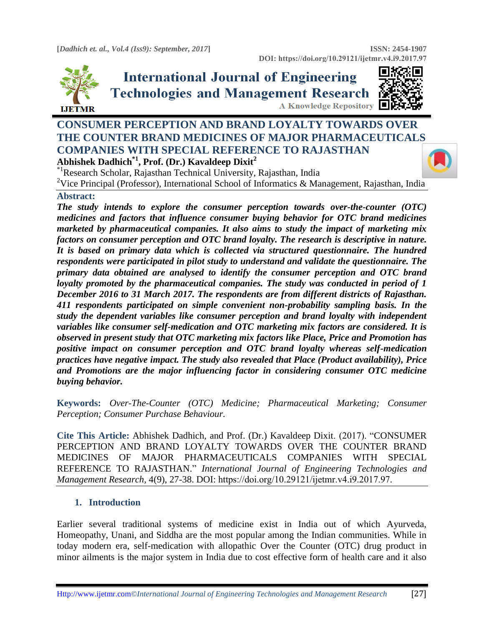

**International Journal of Engineering Technologies and Management Research** A Knowledge Repository  $\blacksquare$ 



# **CONSUMER PERCEPTION AND BRAND LOYALTY TOWARDS OVER THE COUNTER BRAND MEDICINES OF MAJOR PHARMACEUTICAL[S](https://crossmark.crossref.org/dialog/?doi=https://doi.org/10.29121/ijetmr.v4.i9.2017.97&domain=pdf&date_stamp=2017-09-30)  COMPANIES WITH SPECIAL REFERENCE TO RAJASTHAN Abhishek Dadhich\*1 , Prof. (Dr.) Kavaldeep Dixit<sup>2</sup>**

\*1Research Scholar, Rajasthan Technical University, Rajasthan, India

<sup>2</sup>Vice Principal (Professor), International School of Informatics & Management, Rajasthan, India

# **Abstract:**

*The study intends to explore the consumer perception towards over-the-counter (OTC) medicines and factors that influence consumer buying behavior for OTC brand medicines marketed by pharmaceutical companies. It also aims to study the impact of marketing mix factors on consumer perception and OTC brand loyalty. The research is descriptive in nature. It is based on primary data which is collected via structured questionnaire. The hundred respondents were participated in pilot study to understand and validate the questionnaire. The primary data obtained are analysed to identify the consumer perception and OTC brand loyalty promoted by the pharmaceutical companies. The study was conducted in period of 1 December 2016 to 31 March 2017. The respondents are from different districts of Rajasthan. 411 respondents participated on simple convenient non-probability sampling basis. In the study the dependent variables like consumer perception and brand loyalty with independent variables like consumer self-medication and OTC marketing mix factors are considered. It is observed in present study that OTC marketing mix factors like Place, Price and Promotion has positive impact on consumer perception and OTC brand loyalty whereas self-medication practices have negative impact. The study also revealed that Place (Product availability), Price and Promotions are the major influencing factor in considering consumer OTC medicine buying behavior.* 

**Keywords:** *Over-The-Counter (OTC) Medicine; Pharmaceutical Marketing; Consumer Perception; Consumer Purchase Behaviour.* 

**Cite This Article:** Abhishek Dadhich, and Prof. (Dr.) Kavaldeep Dixit. (2017). "CONSUMER PERCEPTION AND BRAND LOYALTY TOWARDS OVER THE COUNTER BRAND MEDICINES OF MAJOR PHARMACEUTICALS COMPANIES WITH SPECIAL REFERENCE TO RAJASTHAN." *International Journal of Engineering Technologies and Management Research,* 4(9), 27-38. DOI: https://doi.org/10.29121/ijetmr.v4.i9.2017.97.

### **1. Introduction**

Earlier several traditional systems of medicine exist in India out of which Ayurveda, Homeopathy, Unani, and Siddha are the most popular among the Indian communities. While in today modern era, self-medication with allopathic Over the Counter (OTC) drug product in minor ailments is the major system in India due to cost effective form of health care and it also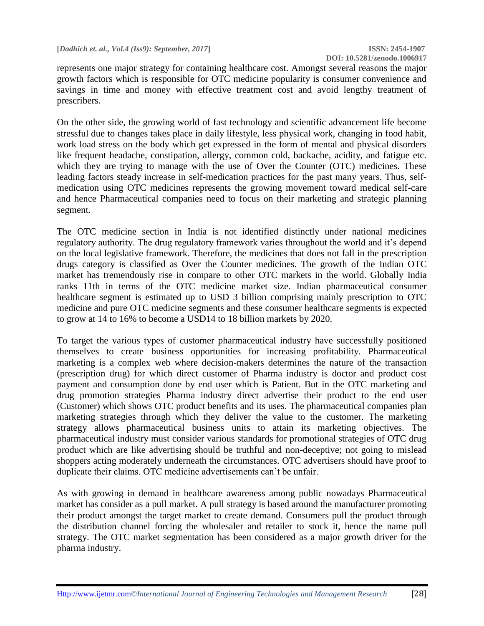represents one major strategy for containing healthcare cost. Amongst several reasons the major growth factors which is responsible for OTC medicine popularity is consumer convenience and savings in time and money with effective treatment cost and avoid lengthy treatment of prescribers.

On the other side, the growing world of fast technology and scientific advancement life become stressful due to changes takes place in daily lifestyle, less physical work, changing in food habit, work load stress on the body which get expressed in the form of mental and physical disorders like frequent headache, constipation, allergy, common cold, backache, acidity, and fatigue etc. which they are trying to manage with the use of Over the Counter (OTC) medicines. These leading factors steady increase in self-medication practices for the past many years. Thus, selfmedication using OTC medicines represents the growing movement toward medical self-care and hence Pharmaceutical companies need to focus on their marketing and strategic planning segment.

The OTC medicine section in India is not identified distinctly under national medicines regulatory authority. The drug regulatory framework varies throughout the world and it's depend on the local legislative framework. Therefore, the medicines that does not fall in the prescription drugs category is classified as Over the Counter medicines. The growth of the Indian OTC market has tremendously rise in compare to other OTC markets in the world. Globally India ranks 11th in terms of the OTC medicine market size. Indian pharmaceutical consumer healthcare segment is estimated up to USD 3 billion comprising mainly prescription to OTC medicine and pure OTC medicine segments and these consumer healthcare segments is expected to grow at 14 to 16% to become a USD14 to 18 billion markets by 2020.

To target the various types of customer pharmaceutical industry have successfully positioned themselves to create business opportunities for increasing profitability. Pharmaceutical marketing is a complex web where decision-makers determines the nature of the transaction (prescription drug) for which direct customer of Pharma industry is doctor and product cost payment and consumption done by end user which is Patient. But in the OTC marketing and drug promotion strategies Pharma industry direct advertise their product to the end user (Customer) which shows OTC product benefits and its uses. The pharmaceutical companies plan marketing strategies through which they deliver the value to the customer. The marketing strategy allows pharmaceutical business units to attain its marketing objectives. The pharmaceutical industry must consider various standards for promotional strategies of OTC drug product which are like advertising should be truthful and non-deceptive; not going to mislead shoppers acting moderately underneath the circumstances. OTC advertisers should have proof to duplicate their claims. OTC medicine advertisements can't be unfair.

As with growing in demand in healthcare awareness among public nowadays Pharmaceutical market has consider as a pull market. A pull strategy is based around the manufacturer promoting their product amongst the target market to create demand. Consumers pull the product through the distribution channel forcing the wholesaler and retailer to stock it, hence the name pull strategy. The OTC market segmentation has been considered as a major growth driver for the pharma industry.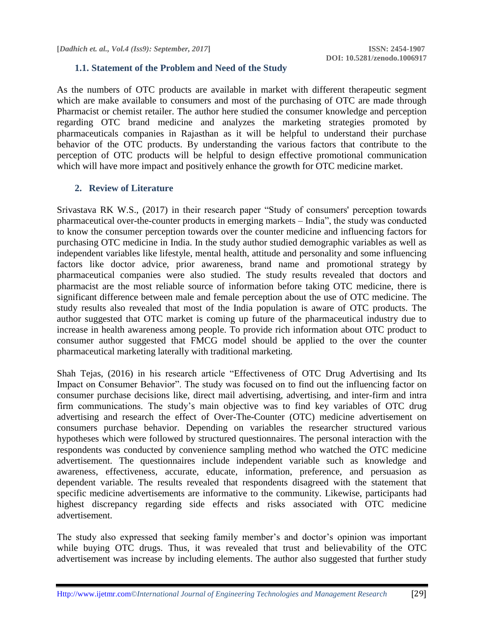#### **1.1. Statement of the Problem and Need of the Study**

As the numbers of OTC products are available in market with different therapeutic segment which are make available to consumers and most of the purchasing of OTC are made through Pharmacist or chemist retailer. The author here studied the consumer knowledge and perception regarding OTC brand medicine and analyzes the marketing strategies promoted by pharmaceuticals companies in Rajasthan as it will be helpful to understand their purchase behavior of the OTC products. By understanding the various factors that contribute to the perception of OTC products will be helpful to design effective promotional communication which will have more impact and positively enhance the growth for OTC medicine market.

### **2. Review of Literature**

Srivastava RK W.S., (2017) in their research paper "Study of consumers' perception towards pharmaceutical over-the-counter products in emerging markets – India", the study was conducted to know the consumer perception towards over the counter medicine and influencing factors for purchasing OTC medicine in India. In the study author studied demographic variables as well as independent variables like lifestyle, mental health, attitude and personality and some influencing factors like doctor advice, prior awareness, brand name and promotional strategy by pharmaceutical companies were also studied. The study results revealed that doctors and pharmacist are the most reliable source of information before taking OTC medicine, there is significant difference between male and female perception about the use of OTC medicine. The study results also revealed that most of the India population is aware of OTC products. The author suggested that OTC market is coming up future of the pharmaceutical industry due to increase in health awareness among people. To provide rich information about OTC product to consumer author suggested that FMCG model should be applied to the over the counter pharmaceutical marketing laterally with traditional marketing.

Shah Tejas, (2016) in his research article "Effectiveness of OTC Drug Advertising and Its Impact on Consumer Behavior". The study was focused on to find out the influencing factor on consumer purchase decisions like, direct mail advertising, advertising, and inter-firm and intra firm communications. The study's main objective was to find key variables of OTC drug advertising and research the effect of Over-The-Counter (OTC) medicine advertisement on consumers purchase behavior. Depending on variables the researcher structured various hypotheses which were followed by structured questionnaires. The personal interaction with the respondents was conducted by convenience sampling method who watched the OTC medicine advertisement. The questionnaires include independent variable such as knowledge and awareness, effectiveness, accurate, educate, information, preference, and persuasion as dependent variable. The results revealed that respondents disagreed with the statement that specific medicine advertisements are informative to the community. Likewise, participants had highest discrepancy regarding side effects and risks associated with OTC medicine advertisement.

The study also expressed that seeking family member's and doctor's opinion was important while buying OTC drugs. Thus, it was revealed that trust and believability of the OTC advertisement was increase by including elements. The author also suggested that further study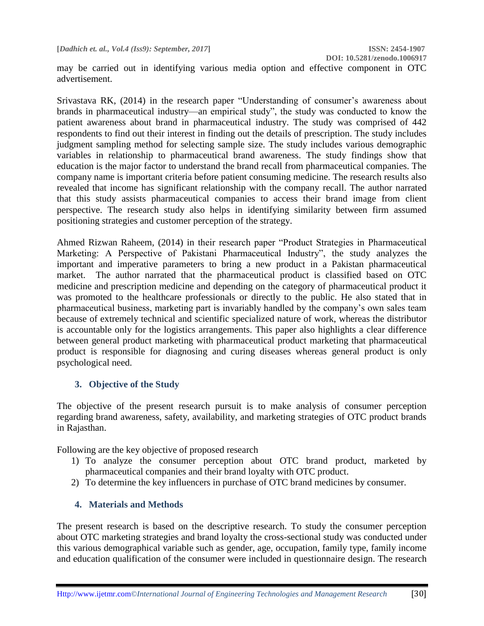**DOI: 10.5281/zenodo.1006917**

may be carried out in identifying various media option and effective component in OTC advertisement.

Srivastava RK, (2014) in the research paper "Understanding of consumer's awareness about brands in pharmaceutical industry—an empirical study", the study was conducted to know the patient awareness about brand in pharmaceutical industry. The study was comprised of 442 respondents to find out their interest in finding out the details of prescription. The study includes judgment sampling method for selecting sample size. The study includes various demographic variables in relationship to pharmaceutical brand awareness. The study findings show that education is the major factor to understand the brand recall from pharmaceutical companies. The company name is important criteria before patient consuming medicine. The research results also revealed that income has significant relationship with the company recall. The author narrated that this study assists pharmaceutical companies to access their brand image from client perspective. The research study also helps in identifying similarity between firm assumed positioning strategies and customer perception of the strategy.

Ahmed Rizwan Raheem, (2014) in their research paper "Product Strategies in Pharmaceutical Marketing: A Perspective of Pakistani Pharmaceutical Industry", the study analyzes the important and imperative parameters to bring a new product in a Pakistan pharmaceutical market. The author narrated that the pharmaceutical product is classified based on OTC medicine and prescription medicine and depending on the category of pharmaceutical product it was promoted to the healthcare professionals or directly to the public. He also stated that in pharmaceutical business, marketing part is invariably handled by the company's own sales team because of extremely technical and scientific specialized nature of work, whereas the distributor is accountable only for the logistics arrangements. This paper also highlights a clear difference between general product marketing with pharmaceutical product marketing that pharmaceutical product is responsible for diagnosing and curing diseases whereas general product is only psychological need.

# **3. Objective of the Study**

The objective of the present research pursuit is to make analysis of consumer perception regarding brand awareness, safety, availability, and marketing strategies of OTC product brands in Rajasthan.

Following are the key objective of proposed research

- 1) To analyze the consumer perception about OTC brand product, marketed by pharmaceutical companies and their brand loyalty with OTC product.
- 2) To determine the key influencers in purchase of OTC brand medicines by consumer.

# **4. Materials and Methods**

The present research is based on the descriptive research. To study the consumer perception about OTC marketing strategies and brand loyalty the cross-sectional study was conducted under this various demographical variable such as gender, age, occupation, family type, family income and education qualification of the consumer were included in questionnaire design. The research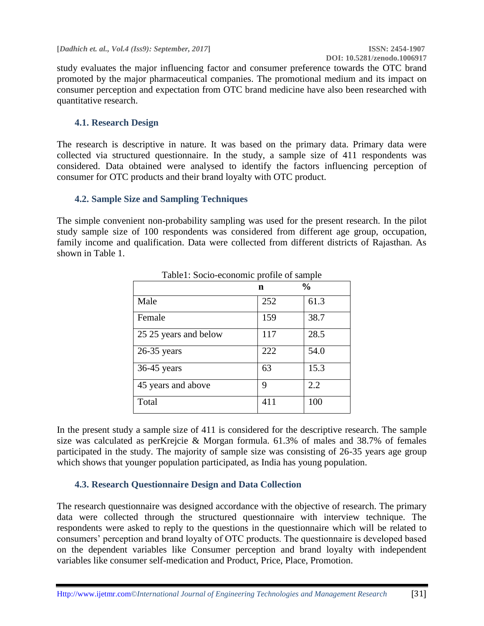study evaluates the major influencing factor and consumer preference towards the OTC brand promoted by the major pharmaceutical companies. The promotional medium and its impact on consumer perception and expectation from OTC brand medicine have also been researched with quantitative research.

# **4.1. Research Design**

The research is descriptive in nature. It was based on the primary data. Primary data were collected via structured questionnaire. In the study, a sample size of 411 respondents was considered. Data obtained were analysed to identify the factors influencing perception of consumer for OTC products and their brand loyalty with OTC product.

# **4.2. Sample Size and Sampling Techniques**

The simple convenient non-probability sampling was used for the present research. In the pilot study sample size of 100 respondents was considered from different age group, occupation, family income and qualification. Data were collected from different districts of Rajasthan. As shown in Table 1.

|                       | n   | $\frac{0}{0}$ |
|-----------------------|-----|---------------|
| Male                  | 252 | 61.3          |
| Female                | 159 | 38.7          |
| 25 25 years and below | 117 | 28.5          |
| $26-35$ years         | 222 | 54.0          |
| $36-45$ years         | 63  | 15.3          |
| 45 years and above    | 9   | 2.2           |
| Total                 | 411 | 100           |

Table1: Socio-economic profile of sample

In the present study a sample size of 411 is considered for the descriptive research. The sample size was calculated as perKrejcie & Morgan formula. 61.3% of males and 38.7% of females participated in the study. The majority of sample size was consisting of 26-35 years age group which shows that younger population participated, as India has young population.

# **4.3. Research Questionnaire Design and Data Collection**

The research questionnaire was designed accordance with the objective of research. The primary data were collected through the structured questionnaire with interview technique. The respondents were asked to reply to the questions in the questionnaire which will be related to consumers' perception and brand loyalty of OTC products. The questionnaire is developed based on the dependent variables like Consumer perception and brand loyalty with independent variables like consumer self-medication and Product, Price, Place, Promotion.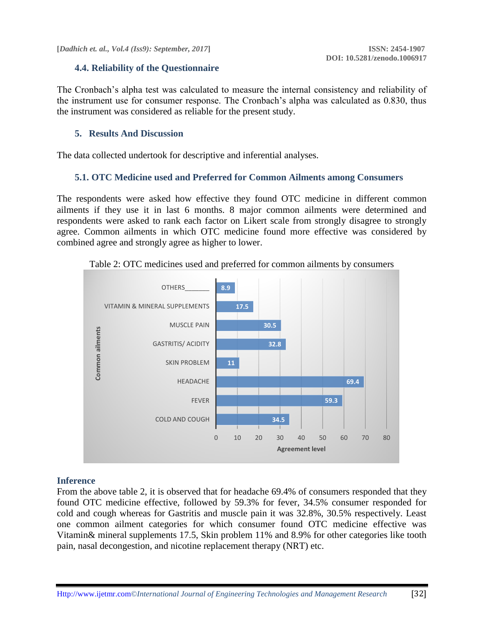# **4.4. Reliability of the Questionnaire**

The Cronbach's alpha test was calculated to measure the internal consistency and reliability of the instrument use for consumer response. The Cronbach's alpha was calculated as 0.830, thus the instrument was considered as reliable for the present study.

#### **5. Results And Discussion**

The data collected undertook for descriptive and inferential analyses.

#### **5.1. OTC Medicine used and Preferred for Common Ailments among Consumers**

The respondents were asked how effective they found OTC medicine in different common ailments if they use it in last 6 months. 8 major common ailments were determined and respondents were asked to rank each factor on Likert scale from strongly disagree to strongly agree. Common ailments in which OTC medicine found more effective was considered by combined agree and strongly agree as higher to lower.



Table 2: OTC medicines used and preferred for common ailments by consumers

### **Inference**

From the above table 2, it is observed that for headache 69.4% of consumers responded that they found OTC medicine effective, followed by 59.3% for fever, 34.5% consumer responded for cold and cough whereas for Gastritis and muscle pain it was 32.8%, 30.5% respectively. Least one common ailment categories for which consumer found OTC medicine effective was Vitamin& mineral supplements 17.5, Skin problem 11% and 8.9% for other categories like tooth pain, nasal decongestion, and nicotine replacement therapy (NRT) etc.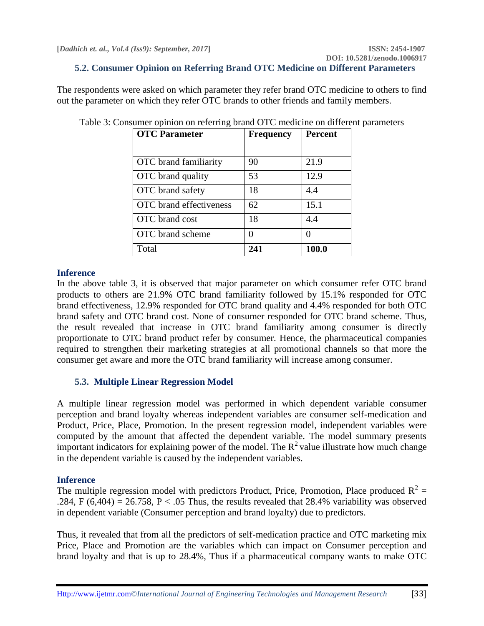# **5.2. Consumer Opinion on Referring Brand OTC Medicine on Different Parameters**

The respondents were asked on which parameter they refer brand OTC medicine to others to find out the parameter on which they refer OTC brands to other friends and family members.

| <b>OTC</b> Parameter         | <b>Frequency</b> | <b>Percent</b>    |  |
|------------------------------|------------------|-------------------|--|
|                              |                  |                   |  |
| <b>OTC</b> brand familiarity | 90               | 21.9              |  |
| OTC brand quality            | 53               | 12.9              |  |
| OTC brand safety             | 18               | 4.4               |  |
| OTC brand effectiveness      | 62               | 15.1              |  |
| OTC brand cost               | 18               | 4.4               |  |
| <b>OTC</b> brand scheme      |                  | $\mathbf{\Omega}$ |  |
| Total                        | 241              | 100.0             |  |

Table 3: Consumer opinion on referring brand OTC medicine on different parameters

### **Inference**

In the above table 3, it is observed that major parameter on which consumer refer OTC brand products to others are 21.9% OTC brand familiarity followed by 15.1% responded for OTC brand effectiveness, 12.9% responded for OTC brand quality and 4.4% responded for both OTC brand safety and OTC brand cost. None of consumer responded for OTC brand scheme. Thus, the result revealed that increase in OTC brand familiarity among consumer is directly proportionate to OTC brand product refer by consumer. Hence, the pharmaceutical companies required to strengthen their marketing strategies at all promotional channels so that more the consumer get aware and more the OTC brand familiarity will increase among consumer.

### **5.3. Multiple Linear Regression Model**

A multiple linear regression model was performed in which dependent variable consumer perception and brand loyalty whereas independent variables are consumer self-medication and Product, Price, Place, Promotion. In the present regression model, independent variables were computed by the amount that affected the dependent variable. The model summary presents important indicators for explaining power of the model. The  $R^2$  value illustrate how much change in the dependent variable is caused by the independent variables.

### **Inference**

The multiple regression model with predictors Product, Price, Promotion, Place produced  $R^2 =$ .284, F (6,404) = 26.758, P < .05 Thus, the results revealed that 28.4% variability was observed in dependent variable (Consumer perception and brand loyalty) due to predictors.

Thus, it revealed that from all the predictors of self-medication practice and OTC marketing mix Price, Place and Promotion are the variables which can impact on Consumer perception and brand loyalty and that is up to 28.4%, Thus if a pharmaceutical company wants to make OTC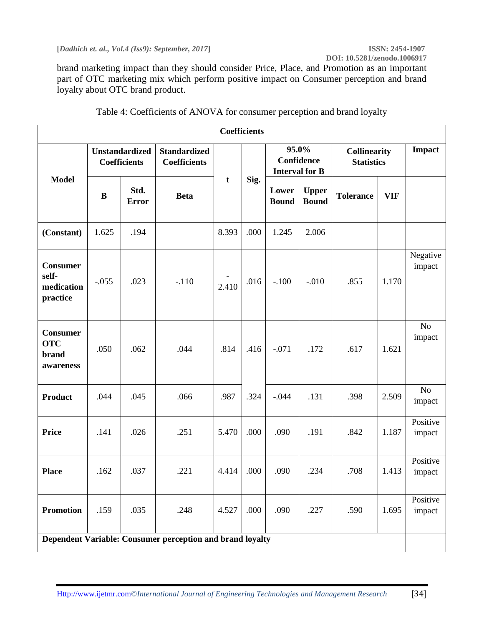**[***Dadhich et. al., Vol.4 (Iss9): September, 2017***] ISSN: 2454-1907**

brand marketing impact than they should consider Price, Place, and Promotion as an important part of OTC marketing mix which perform positive impact on Consumer perception and brand loyalty about OTC brand product.

| <b>Coefficients</b>                                       |                                              |                      |                                            |       |      |                                              |                              |                                          |            |                    |
|-----------------------------------------------------------|----------------------------------------------|----------------------|--------------------------------------------|-------|------|----------------------------------------------|------------------------------|------------------------------------------|------------|--------------------|
|                                                           | <b>Unstandardized</b><br><b>Coefficients</b> |                      | <b>Standardized</b><br><b>Coefficients</b> |       |      | 95.0%<br>Confidence<br><b>Interval for B</b> |                              | <b>Collinearity</b><br><b>Statistics</b> |            | <b>Impact</b>      |
| <b>Model</b>                                              | B                                            | Std.<br><b>Error</b> | <b>Beta</b>                                | t     | Sig. | Lower<br><b>Bound</b>                        | <b>Upper</b><br><b>Bound</b> | <b>Tolerance</b>                         | <b>VIF</b> |                    |
| (Constant)                                                | 1.625                                        | .194                 |                                            | 8.393 | .000 | 1.245                                        | 2.006                        |                                          |            |                    |
| <b>Consumer</b><br>self-<br>medication<br>practice        | $-.055$                                      | .023                 | $-.110$                                    | 2.410 | .016 | $-.100$                                      | $-.010$                      | .855                                     | 1.170      | Negative<br>impact |
| <b>Consumer</b><br><b>OTC</b><br>brand<br>awareness       | .050                                         | .062                 | .044                                       | .814  | .416 | $-.071$                                      | .172                         | .617                                     | 1.621      | No<br>impact       |
| <b>Product</b>                                            | .044                                         | .045                 | .066                                       | .987  | .324 | $-.044$                                      | .131                         | .398                                     | 2.509      | No<br>impact       |
| <b>Price</b>                                              | .141                                         | .026                 | .251                                       | 5.470 | .000 | .090                                         | .191                         | .842                                     | 1.187      | Positive<br>impact |
| <b>Place</b>                                              | .162                                         | .037                 | .221                                       | 4.414 | .000 | .090                                         | .234                         | .708                                     | 1.413      | Positive<br>impact |
| <b>Promotion</b>                                          | .159                                         | .035                 | .248                                       | 4.527 | .000 | .090                                         | .227                         | .590                                     | 1.695      | Positive<br>impact |
| Dependent Variable: Consumer perception and brand loyalty |                                              |                      |                                            |       |      |                                              |                              |                                          |            |                    |

| Table 4: Coefficients of ANOVA for consumer perception and brand loyalty |  |  |
|--------------------------------------------------------------------------|--|--|
|--------------------------------------------------------------------------|--|--|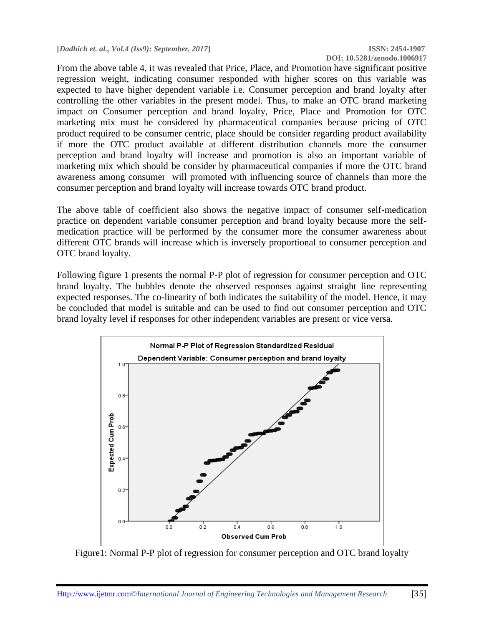**[***Dadhich et. al., Vol.4 (Iss9): September, 2017***] ISSN: 2454-1907**

**DOI: 10.5281/zenodo.1006917**

From the above table 4, it was revealed that Price, Place, and Promotion have significant positive regression weight, indicating consumer responded with higher scores on this variable was expected to have higher dependent variable i.e. Consumer perception and brand loyalty after controlling the other variables in the present model. Thus, to make an OTC brand marketing impact on Consumer perception and brand loyalty, Price, Place and Promotion for OTC marketing mix must be considered by pharmaceutical companies because pricing of OTC product required to be consumer centric, place should be consider regarding product availability if more the OTC product available at different distribution channels more the consumer perception and brand loyalty will increase and promotion is also an important variable of marketing mix which should be consider by pharmaceutical companies if more the OTC brand awareness among consumer will promoted with influencing source of channels than more the consumer perception and brand loyalty will increase towards OTC brand product.

The above table of coefficient also shows the negative impact of consumer self-medication practice on dependent variable consumer perception and brand loyalty because more the selfmedication practice will be performed by the consumer more the consumer awareness about different OTC brands will increase which is inversely proportional to consumer perception and OTC brand loyalty.

Following figure 1 presents the normal P-P plot of regression for consumer perception and OTC brand loyalty. The bubbles denote the observed responses against straight line representing expected responses. The co-linearity of both indicates the suitability of the model. Hence, it may be concluded that model is suitable and can be used to find out consumer perception and OTC brand loyalty level if responses for other independent variables are present or vice versa.



Figure1: Normal P-P plot of regression for consumer perception and OTC brand loyalty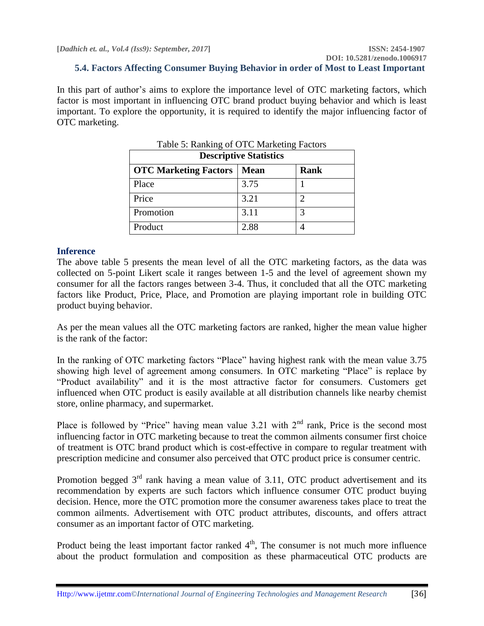# **5.4. Factors Affecting Consumer Buying Behavior in order of Most to Least Important**

In this part of author's aims to explore the importance level of OTC marketing factors, which factor is most important in influencing OTC brand product buying behavior and which is least important. To explore the opportunity, it is required to identify the major influencing factor of OTC marketing.

 $T$  it  $\epsilon$  p it coronal  $\epsilon$ 

| Table 5: Ranking of OTC Marketing Factors<br><b>Descriptive Statistics</b> |             |             |  |
|----------------------------------------------------------------------------|-------------|-------------|--|
| <b>OTC Marketing Factors</b>                                               | <b>Mean</b> | <b>Rank</b> |  |
| Place                                                                      | 3.75        |             |  |
| Price                                                                      | 3.21        |             |  |
| Promotion                                                                  | 3.11        | 3           |  |
| Product                                                                    | 2.88        |             |  |

#### **Inference**

The above table 5 presents the mean level of all the OTC marketing factors, as the data was collected on 5-point Likert scale it ranges between 1-5 and the level of agreement shown my consumer for all the factors ranges between 3-4. Thus, it concluded that all the OTC marketing factors like Product, Price, Place, and Promotion are playing important role in building OTC product buying behavior.

As per the mean values all the OTC marketing factors are ranked, higher the mean value higher is the rank of the factor:

In the ranking of OTC marketing factors "Place" having highest rank with the mean value 3.75 showing high level of agreement among consumers. In OTC marketing "Place" is replace by "Product availability" and it is the most attractive factor for consumers. Customers get influenced when OTC product is easily available at all distribution channels like nearby chemist store, online pharmacy, and supermarket.

Place is followed by "Price" having mean value 3.21 with  $2<sup>nd</sup>$  rank, Price is the second most influencing factor in OTC marketing because to treat the common ailments consumer first choice of treatment is OTC brand product which is cost-effective in compare to regular treatment with prescription medicine and consumer also perceived that OTC product price is consumer centric.

Promotion begged  $3<sup>rd</sup>$  rank having a mean value of 3.11, OTC product advertisement and its recommendation by experts are such factors which influence consumer OTC product buying decision. Hence, more the OTC promotion more the consumer awareness takes place to treat the common ailments. Advertisement with OTC product attributes, discounts, and offers attract consumer as an important factor of OTC marketing.

Product being the least important factor ranked  $4<sup>th</sup>$ , The consumer is not much more influence about the product formulation and composition as these pharmaceutical OTC products are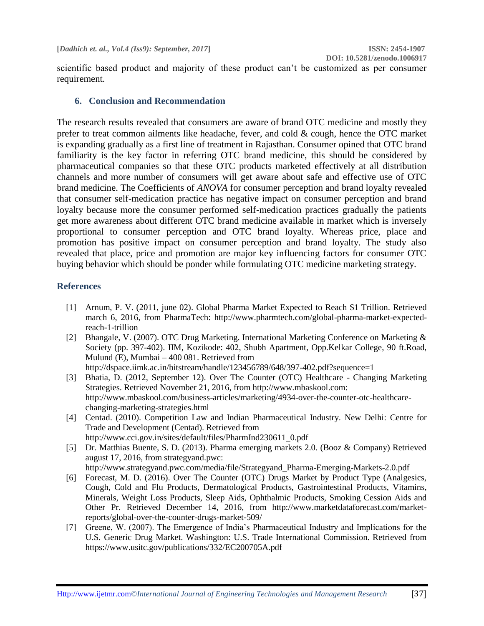scientific based product and majority of these product can't be customized as per consumer requirement.

### **6. Conclusion and Recommendation**

The research results revealed that consumers are aware of brand OTC medicine and mostly they prefer to treat common ailments like headache, fever, and cold & cough, hence the OTC market is expanding gradually as a first line of treatment in Rajasthan. Consumer opined that OTC brand familiarity is the key factor in referring OTC brand medicine, this should be considered by pharmaceutical companies so that these OTC products marketed effectively at all distribution channels and more number of consumers will get aware about safe and effective use of OTC brand medicine. The Coefficients of *ANOVA* for consumer perception and brand loyalty revealed that consumer self-medication practice has negative impact on consumer perception and brand loyalty because more the consumer performed self-medication practices gradually the patients get more awareness about different OTC brand medicine available in market which is inversely proportional to consumer perception and OTC brand loyalty. Whereas price, place and promotion has positive impact on consumer perception and brand loyalty. The study also revealed that place, price and promotion are major key influencing factors for consumer OTC buying behavior which should be ponder while formulating OTC medicine marketing strategy.

# **References**

- [1] Arnum, P. V. (2011, june 02). Global Pharma Market Expected to Reach \$1 Trillion. Retrieved march 6, 2016, from PharmaTech: http://www.pharmtech.com/global-pharma-market-expectedreach-1-trillion
- [2] Bhangale, V. (2007). OTC Drug Marketing. International Marketing Conference on Marketing & Society (pp. 397-402). IIM, Kozikode: 402, Shubh Apartment, Opp.Kelkar College, 90 ft.Road, Mulund (E), Mumbai – 400 081. Retrieved from http://dspace.iimk.ac.in/bitstream/handle/123456789/648/397-402.pdf?sequence=1
- [3] Bhatia, D. (2012, September 12). Over The Counter (OTC) Healthcare Changing Marketing Strategies. Retrieved November 21, 2016, from http://www.mbaskool.com: http://www.mbaskool.com/business-articles/marketing/4934-over-the-counter-otc-healthcarechanging-marketing-strategies.html
- [4] Centad. (2010). Competition Law and Indian Pharmaceutical Industry. New Delhi: Centre for Trade and Development (Centad). Retrieved from http://www.cci.gov.in/sites/default/files/PharmInd230611\_0.pdf
- [5] Dr. Matthias Buente, S. D. (2013). Pharma emerging markets 2.0. (Booz & Company) Retrieved august 17, 2016, from strategyand.pwc:
	- http://www.strategyand.pwc.com/media/file/Strategyand\_Pharma-Emerging-Markets-2.0.pdf
- [6] Forecast, M. D. (2016). Over The Counter (OTC) Drugs Market by Product Type (Analgesics, Cough, Cold and Flu Products, Dermatological Products, Gastrointestinal Products, Vitamins, Minerals, Weight Loss Products, Sleep Aids, Ophthalmic Products, Smoking Cession Aids and Other Pr. Retrieved December 14, 2016, from http://www.marketdataforecast.com/marketreports/global-over-the-counter-drugs-market-509/
- [7] Greene, W. (2007). The Emergence of India's Pharmaceutical Industry and Implications for the U.S. Generic Drug Market. Washington: U.S. Trade International Commission. Retrieved from https://www.usitc.gov/publications/332/EC200705A.pdf